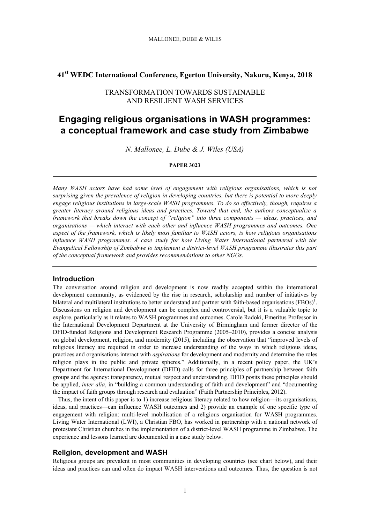# **41st WEDC International Conference, Egerton University, Nakuru, Kenya, 2018**

# TRANSFORMATION TOWARDS SUSTAINABLE AND RESILIENT WASH SERVICES

# **Engaging religious organisations in WASH programmes: a conceptual framework and case study from Zimbabwe**

*N. Mallonee, L. Dube & J. Wiles (USA)*

#### **PAPER 3023**

*Many WASH actors have had some level of engagement with religious organisations, which is not surprising given the prevalence of religion in developing countries, but there is potential to more deeply engage religious institutions in large-scale WASH programmes. To do so effectively, though, requires a greater literacy around religious ideas and practices. Toward that end, the authors conceptualize a framework that breaks down the concept of "religion" into three components — ideas, practices, and organisations — which interact with each other and influence WASH programmes and outcomes. One aspect of the framework, which is likely most familiar to WASH actors, is how religious organisations influence WASH programmes. A case study for how Living Water International partnered with the Evangelical Fellowship of Zimbabwe to implement a district-level WASH programme illustrates this part of the conceptual framework and provides recommendations to other NGOs.*

## **Introduction**

The conversation around religion and development is now readily accepted within the international development community, as evidenced by the rise in research, scholarship and number of initiatives by bilateral and multilateral institutions to better understand and partner with faith-based organisations  $(FBOs)^{1}$ . Discussions on religion and development can be complex and controversial, but it is a valuable topic to explore, particularly as it relates to WASH programmes and outcomes. Carole Radoki, Emeritus Professor in the International Development Department at the University of Birmingham and former director of the DFID-funded Religions and Development Research Programme (2005–2010), provides a concise analysis on global development, religion, and modernity (2015), including the observation that "improved levels of religious literacy are required in order to increase understanding of the ways in which religious ideas, practices and organisations interact with *aspirations* for development and modernity and determine the roles religion plays in the public and private spheres." Additionally, in a recent policy paper, the UK's Department for International Development (DFID) calls for three principles of partnership between faith groups and the agency: transparency, mutual respect and understanding. DFID posits these principles should be applied, *inter alia*, in "building a common understanding of faith and development" and "documenting the impact of faith groups through research and evaluation" (Faith Partnership Principles, 2012).

Thus, the intent of this paper is to 1) increase religious literacy related to how religion—its organisations, ideas, and practices—can influence WASH outcomes and 2) provide an example of one specific type of engagement with religion: multi-level mobilisation of a religious organisation for WASH programmes. Living Water International (LWI), a Christian FBO, has worked in partnership with a national network of protestant Christian churches in the implementation of a district-level WASH programme in Zimbabwe. The experience and lessons learned are documented in a case study below.

# **Religion, development and WASH**

Religious groups are prevalent in most communities in developing countries (see chart below), and their ideas and practices can and often do impact WASH interventions and outcomes. Thus, the question is not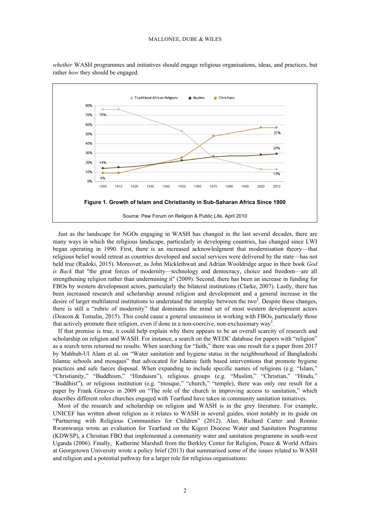

*whether* WASH programmes and initiatives should engage religious organisations, ideas, and practices, but rather *how* they should be engaged.

Just as the landscape for NGOs engaging in WASH has changed in the last several decades, there are many ways in which the religious landscape, particularly in developing countries, has changed since LWI began operating in 1990. First, there is an increased acknowledgment that modernisation theory—that religious belief would retreat as countries developed and social services were delivered by the state—has not held true (Radoki, 2015). Moreover, as John Micklethwait and Adrian Wooldridge argue in their book *God is Back* that "the great forces of modernity—technology and democracy, choice and freedom—are all strengthening religion rather than undermining it" (2009). Second, there has been an increase in funding for FBOs by western development actors, particularly the bilateral institutions (Clarke, 2007). Lastly, there has been increased research and scholarship around religion and development and a general increase in the desire of larger multilateral institutions to understand the interplay between the two<sup>2</sup>. Despite these changes, there is still a "rubric of modernity" that dominates the mind set of most western development actors (Deacon & Tomalin, 2015). This could cause a general uneasiness in working with FBOs, particularly those that actively promote their religion, even if done in a non-coercive, non-exclusionary way<sup>3</sup>.

If that premise is true, it could help explain why there appears to be an overall scarcity of research and scholarship on religion and WASH. For instance, a search on the WEDC database for papers with "religion" as a search term returned no results. When searching for "faith," there was one result for a paper from 2017 by Mahbub-Ul Alam et al. on "Water sanitation and hygiene status in the neighbourhood of Bangladeshi Islamic schools and mosques" that advocated for Islamic faith based interventions that promote hygiene practices and safe faeces disposal. When expanding to include specific names of religions (e.g. "Islam," "Christianity," "Buddhism," "Hinduism"), religious groups (e.g. "Muslim," "Christian," "Hindu," "Buddhist"), or religious institution (e.g. "mosque," "church," "temple), there was only one result for a paper by Frank Greaves in 2009 on "The role of the church in improving access to sanitation," which describes different roles churches engaged with Tearfund have taken in community sanitation initiatives.

Most of the research and scholarship on religion and WASH is in the grey literature. For example, UNICEF has written about religion as it relates to WASH in several guides, most notably in its guide on "Partnering with Religious Communities for Children" (2012). Also, Richard Carter and Ronnie Rwamwanja wrote an evaluation for Tearfund on the Kigezi Diocese Water and Sanitation Programme (KDWSP), a Christian FBO that implemented a community water and sanitation programme in south-west Uganda (2006). Finally, Katherine Marshall from the Berkley Center for Religion, Peace & World Affairs at Georgetown University wrote a policy brief (2013) that summarised some of the issues related to WASH and religion and a potential pathway for a larger role for religious organisations: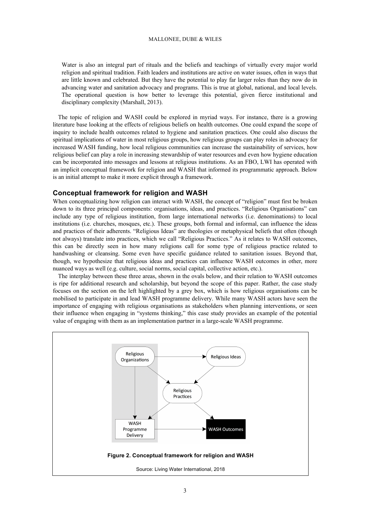#### MALLONEE, DUBE & WILES

Water is also an integral part of rituals and the beliefs and teachings of virtually every major world religion and spiritual tradition. Faith leaders and institutions are active on water issues, often in ways that are little known and celebrated. But they have the potential to play far larger roles than they now do in advancing water and sanitation advocacy and programs. This is true at global, national, and local levels. The operational question is how better to leverage this potential, given fierce institutional and disciplinary complexity (Marshall, 2013).

The topic of religion and WASH could be explored in myriad ways. For instance, there is a growing literature base looking at the effects of religious beliefs on health outcomes. One could expand the scope of inquiry to include health outcomes related to hygiene and sanitation practices. One could also discuss the spiritual implications of water in most religious groups, how religious groups can play roles in advocacy for increased WASH funding, how local religious communities can increase the sustainability of services, how religious belief can play a role in increasing stewardship of water resources and even how hygiene education can be incorporated into messages and lessons at religious institutions. As an FBO, LWI has operated with an implicit conceptual framework for religion and WASH that informed its programmatic approach. Below is an initial attempt to make it more explicit through a framework.

## **Conceptual framework for religion and WASH**

When conceptualizing how religion can interact with WASH, the concept of "religion" must first be broken down to its three principal components: organisations, ideas, and practices. "Religious Organisations" can include any type of religious institution, from large international networks (i.e. denominations) to local institutions (i.e. churches, mosques, etc.). These groups, both formal and informal, can influence the ideas and practices of their adherents. "Religious Ideas" are theologies or metaphysical beliefs that often (though not always) translate into practices, which we call "Religious Practices." As it relates to WASH outcomes, this can be directly seen in how many religions call for some type of religious practice related to handwashing or cleansing. Some even have specific guidance related to sanitation issues. Beyond that, though, we hypothesize that religious ideas and practices can influence WASH outcomes in other, more nuanced ways as well (e.g. culture, social norms, social capital, collective action, etc.).

The interplay between these three areas, shown in the ovals below, and their relation to WASH outcomes is ripe for additional research and scholarship, but beyond the scope of this paper. Rather, the case study focuses on the section on the left highlighted by a grey box, which is how religious organisations can be mobilised to participate in and lead WASH programme delivery. While many WASH actors have seen the importance of engaging with religious organisations as stakeholders when planning interventions, or seen their influence when engaging in "systems thinking," this case study provides an example of the potential value of engaging with them as an implementation partner in a large-scale WASH programme.

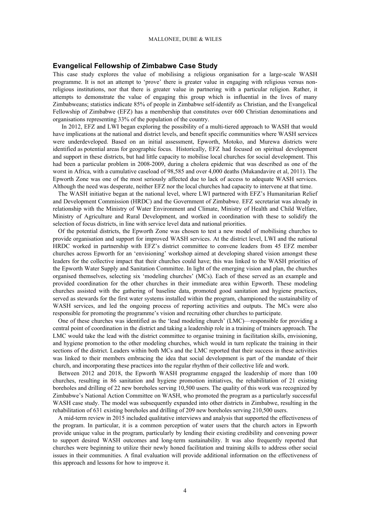## **Evangelical Fellowship of Zimbabwe Case Study**

This case study explores the value of mobilising a religious organisation for a large-scale WASH programme. It is not an attempt to 'prove' there is greater value in engaging with religious versus nonreligious institutions, nor that there is greater value in partnering with a particular religion. Rather, it attempts to demonstrate the value of engaging this group which is influential in the lives of many Zimbabweans; statistics indicate 85% of people in Zimbabwe self-identify as Christian, and the Evangelical Fellowship of Zimbabwe (EFZ) has a membership that constitutes over 600 Christian denominations and organisations representing 33% of the population of the country.

In 2012, EFZ and LWI began exploring the possibility of a multi-tiered approach to WASH that would have implications at the national and district levels, and benefit specific communities where WASH services were underdeveloped. Based on an initial assessment, Epworth, Motoko, and Murewa districts were identified as potential areas for geographic focus. Historically, EFZ had focused on spiritual development and support in these districts, but had little capacity to mobilise local churches for social development. This had been a particular problem in 2008-2009, during a cholera epidemic that was described as one of the worst in Africa, with a cumulative caseload of 98,585 and over 4,000 deaths (Mukandavire et al, 2011). The Epworth Zone was one of the most seriously affected due to lack of access to adequate WASH services. Although the need was desperate, neither EFZ nor the local churches had capacity to intervene at that time.

The WASH initiative began at the national level, where LWI partnered with EFZ's Humanitarian Relief and Development Commission (HRDC) and the Government of Zimbabwe. EFZ secretariat was already in relationship with the Ministry of Water Environment and Climate, Ministry of Health and Child Welfare, Ministry of Agriculture and Rural Development, and worked in coordination with these to solidify the selection of focus districts, in line with service level data and national priorities.

Of the potential districts, the Epworth Zone was chosen to test a new model of mobilising churches to provide organisation and support for improved WASH services. At the district level, LWI and the national HRDC worked in partnership with EFZ's district committee to convene leaders from 45 EFZ member churches across Epworth for an 'envisioning' workshop aimed at developing shared vision amongst these leaders for the collective impact that their churches could have; this was linked to the WASH priorities of the Epworth Water Supply and Sanitation Committee. In light of the emerging vision and plan, the churches organised themselves, selecting six 'modeling churches' (MCs). Each of these served as an example and provided coordination for the other churches in their immediate area within Epworth. These modeling churches assisted with the gathering of baseline data, promoted good sanitation and hygiene practices, served as stewards for the first water systems installed within the program, championed the sustainability of WASH services, and led the ongoing process of reporting activities and outputs. The MCs were also responsible for promoting the programme's vision and recruiting other churches to participate.

One of these churches was identified as the 'lead modeling church' (LMC)—responsible for providing a central point of coordination in the district and taking a leadership role in a training of trainers approach. The LMC would take the lead with the district committee to organise training in facilitation skills, envisioning, and hygiene promotion to the other modeling churches, which would in turn replicate the training in their sections of the district. Leaders within both MCs and the LMC reported that their success in these activities was linked to their members embracing the idea that social development is part of the mandate of their church, and incorporating these practices into the regular rhythm of their collective life and work.

Between 2012 and 2018, the Epworth WASH programme engaged the leadership of more than 100 churches, resulting in 86 sanitation and hygiene promotion initiatives, the rehabilitation of 21 existing boreholes and drilling of 22 new boreholes serving 10,500 users. The quality of this work was recognized by Zimbabwe's National Action Committee on WASH, who promoted the program as a particularly successful WASH case study. The model was subsequently expanded into other districts in Zimbabwe, resulting in the rehabilitation of 631 existing boreholes and drilling of 209 new boreholes serving 210,500 users.

A mid-term review in 2015 included qualitative interviews and analysis that supported the effectiveness of the program. In particular, it is a common perception of water users that the church actors in Epworth provide unique value in the program, particularly by lending their existing credibility and convening power to support desired WASH outcomes and long-term sustainability. It was also frequently reported that churches were beginning to utilize their newly honed facilitation and training skills to address other social issues in their communities. A final evaluation will provide additional information on the effectiveness of this approach and lessons for how to improve it.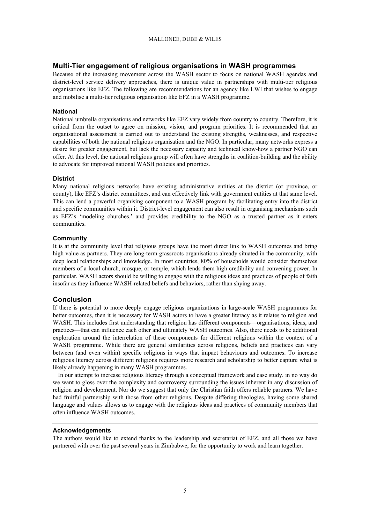### MALLONEE, DUBE & WILES

## **Multi-Tier engagement of religious organisations in WASH programmes**

Because of the increasing movement across the WASH sector to focus on national WASH agendas and district-level service delivery approaches, there is unique value in partnerships with multi-tier religious organisations like EFZ. The following are recommendations for an agency like LWI that wishes to engage and mobilise a multi-tier religious organisation like EFZ in a WASH programme.

## **National**

National umbrella organisations and networks like EFZ vary widely from country to country. Therefore, it is critical from the outset to agree on mission, vision, and program priorities. It is recommended that an organisational assessment is carried out to understand the existing strengths, weaknesses, and respective capabilities of both the national religious organisation and the NGO. In particular, many networks express a desire for greater engagement, but lack the necessary capacity and technical know-how a partner NGO can offer. At this level, the national religious group will often have strengths in coalition-building and the ability to advocate for improved national WASH policies and priorities.

## **District**

Many national religious networks have existing administrative entities at the district (or province, or county), like EFZ's district committees, and can effectively link with government entities at that same level. This can lend a powerful organising component to a WASH program by facilitating entry into the district and specific communities within it. District-level engagement can also result in organising mechanisms such as EFZ's 'modeling churches,' and provides credibility to the NGO as a trusted partner as it enters communities.

## **Community**

It is at the community level that religious groups have the most direct link to WASH outcomes and bring high value as partners. They are long-term grassroots organisations already situated in the community, with deep local relationships and knowledge. In most countries, 80% of households would consider themselves members of a local church, mosque, or temple, which lends them high credibility and convening power. In particular, WASH actors should be willing to engage with the religious ideas and practices of people of faith insofar as they influence WASH-related beliefs and behaviors, rather than shying away.

## **Conclusion**

If there is potential to more deeply engage religious organizations in large-scale WASH programmes for better outcomes, then it is necessary for WASH actors to have a greater literacy as it relates to religion and WASH. This includes first understanding that religion has different components—organisations, ideas, and practices—that can influence each other and ultimately WASH outcomes. Also, there needs to be additional exploration around the interrelation of these components for different religions within the context of a WASH programme. While there are general similarities across religions, beliefs and practices can vary between (and even within) specific religions in ways that impact behaviours and outcomes. To increase religious literacy across different religions requires more research and scholarship to better capture what is likely already happening in many WASH programmes.

In our attempt to increase religious literacy through a conceptual framework and case study, in no way do we want to gloss over the complexity and controversy surrounding the issues inherent in any discussion of religion and development. Nor do we suggest that only the Christian faith offers reliable partners. We have had fruitful partnership with those from other religions. Despite differing theologies, having some shared language and values allows us to engage with the religious ideas and practices of community members that often influence WASH outcomes.

## **Acknowledgements**

The authors would like to extend thanks to the leadership and secretariat of EFZ, and all those we have partnered with over the past several years in Zimbabwe, for the opportunity to work and learn together.